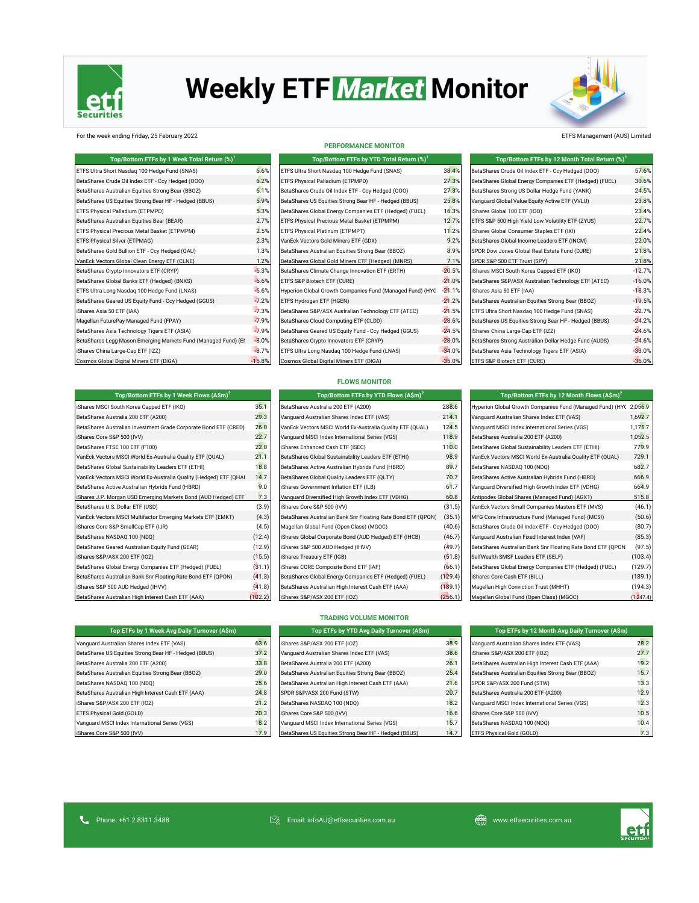

# **Weekly ETF Market Monitor**

**PERFORMANCE MONITOR**



#### For the week ending Friday, 25 February 2022 **ETFS Management (AUS) Limited** ETFS Management (AUS) Limited

| Top/Bottom ETFs by 1 Week Total Return (%) <sup>1</sup>        |          | Top/Bottom ETFs by YTD Total Return (%) <sup>1</sup>      |          | Top/Bottom ETFs by 12 Month Total Return (%) <sup>1</sup> |          |
|----------------------------------------------------------------|----------|-----------------------------------------------------------|----------|-----------------------------------------------------------|----------|
| ETFS Ultra Short Nasdag 100 Hedge Fund (SNAS)                  | 6.6%     | ETFS Ultra Short Nasdag 100 Hedge Fund (SNAS)             | 38.4%    | BetaShares Crude Oil Index ETF - Ccy Hedged (OOO)         | 57.6%    |
| BetaShares Crude Oil Index ETF - Ccy Hedged (000)              | 6.2%     | ETFS Physical Palladium (ETPMPD)                          | 27.3%    | BetaShares Global Energy Companies ETF (Hedged) (FUEL)    | 30.6%    |
| BetaShares Australian Equities Strong Bear (BBOZ)              | 6.1%     | BetaShares Crude Oil Index ETF - Ccy Hedged (000)         | 27.3%    | BetaShares Strong US Dollar Hedge Fund (YANK)             | 24.5%    |
| BetaShares US Equities Strong Bear HF - Hedged (BBUS)          | 5.9%     | BetaShares US Equities Strong Bear HF - Hedged (BBUS)     | 25.8%    | Vanguard Global Value Equity Active ETF (VVLU)            | 23.8%    |
| ETFS Physical Palladium (ETPMPD)                               | 5.3%     | BetaShares Global Energy Companies ETF (Hedged) (FUEL)    | 16.3%    | iShares Global 100 ETF (IOO)                              | 23.4%    |
| BetaShares Australian Equities Bear (BEAR)                     | 2.7%     | ETFS Physical Precious Metal Basket (ETPMPM)              | 12.7%    | ETFS S&P 500 High Yield Low Volatility ETF (ZYUS)         | 22.7%    |
| ETFS Physical Precious Metal Basket (ETPMPM)                   | 2.5%     | ETFS Physical Platinum (ETPMPT)                           | 11.2%    | iShares Global Consumer Staples ETF (IXI)                 | 22.4%    |
| ETFS Physical Silver (ETPMAG)                                  | 2.3%     | VanEck Vectors Gold Miners ETF (GDX)                      | 9.2%     | BetaShares Global Income Leaders ETF (INCM)               | 22.0%    |
| BetaShares Gold Bullion ETF - Ccy Hedged (QAU)                 | 1.3%     | BetaShares Australian Equities Strong Bear (BBOZ)         | 8.9%     | SPDR Dow Jones Global Real Estate Fund (DJRE)             | 21.8%    |
| VanEck Vectors Global Clean Energy ETF (CLNE)                  | 1.2%     | BetaShares Global Gold Miners ETF (Hedged) (MNRS)         | 7.1%     | SPDR S&P 500 ETF Trust (SPY)                              | 21.8%    |
| BetaShares Crypto Innovators ETF (CRYP)                        | $-6.3%$  | BetaShares Climate Change Innovation ETF (ERTH)           | $-20.5%$ | iShares MSCI South Korea Capped ETF (IKO)                 | $-12.7%$ |
| BetaShares Global Banks ETF (Hedged) (BNKS)                    | $-6.6%$  | ETFS S&P Biotech ETF (CURE)                               | $-21.0%$ | BetaShares S&P/ASX Australian Technology ETF (ATEC)       | $-16.0%$ |
| ETFS Ultra Long Nasdaq 100 Hedge Fund (LNAS)                   | $-6.6%$  | Hyperion Global Growth Companies Fund (Managed Fund) (HYC | $-21.1%$ | iShares Asia 50 ETF (IAA)                                 | $-18.3%$ |
| BetaShares Geared US Equity Fund - Ccy Hedged (GGUS)           | $-7.2%$  | ETFS Hydrogen ETF (HGEN)                                  | $-21.2%$ | BetaShares Australian Equities Strong Bear (BBOZ)         | $-19.5%$ |
| iShares Asia 50 ETF (IAA)                                      | $-7.3%$  | BetaShares S&P/ASX Australian Technology ETF (ATEC)       | $-21.5%$ | ETFS Ultra Short Nasdag 100 Hedge Fund (SNAS)             | $-22.7%$ |
| Magellan FuturePay Managed Fund (FPAY)                         | $-7.9%$  | BetaShares Cloud Computing ETF (CLDD)                     | $-23.6%$ | BetaShares US Equities Strong Bear HF - Hedged (BBUS)     | $-24.2%$ |
| BetaShares Asia Technology Tigers ETF (ASIA)                   | $-7.9%$  | BetaShares Geared US Equity Fund - Ccy Hedged (GGUS)      | $-24.5%$ | iShares China Large-Cap ETF (IZZ)                         | $-24.6%$ |
| BetaShares Legg Mason Emerging Markets Fund (Managed Fund) (El | $-8.0%$  | BetaShares Crypto Innovators ETF (CRYP)                   | $-28.0%$ | BetaShares Strong Australian Dollar Hedge Fund (AUDS)     | $-24.6%$ |
| iShares China Large-Cap ETF (IZZ)                              | $-8.7%$  | ETFS Ultra Long Nasdag 100 Hedge Fund (LNAS)              | $-34.0%$ | BetaShares Asia Technology Tigers ETF (ASIA)              | $-33.0%$ |
| Cosmos Global Digital Miners ETF (DIGA)                        | $-15.8%$ | Cosmos Global Digital Miners ETF (DIGA)                   | $-35.0%$ | ETFS S&P Biotech ETF (CURE)                               | $-36.0%$ |

| Top/Bottom ETFs by YTD Total Return (%) <sup>1</sup>      |          |
|-----------------------------------------------------------|----------|
| ETFS Ultra Short Nasdag 100 Hedge Fund (SNAS)             | 38.4'    |
| ETFS Physical Palladium (ETPMPD)                          | 27.3'    |
| BetaShares Crude Oil Index ETF - Ccy Hedged (000)         | 27.3'    |
| BetaShares US Equities Strong Bear HF - Hedged (BBUS)     | 25.8'    |
| BetaShares Global Energy Companies ETF (Hedged) (FUEL)    | 16.3'    |
| ETFS Physical Precious Metal Basket (ETPMPM)              | 12.7'    |
| ETFS Physical Platinum (ETPMPT)                           | 11.2     |
| VanEck Vectors Gold Miners ETF (GDX)                      | 9.2      |
| BetaShares Australian Equities Strong Bear (BBOZ)         | 8.9      |
| BetaShares Global Gold Miners ETF (Hedged) (MNRS)         | 7.1'     |
| BetaShares Climate Change Innovation ETF (ERTH)           | $-20.5'$ |
| ETFS S&P Biotech ETF (CURE)                               | $-21.0$  |
| Hyperion Global Growth Companies Fund (Managed Fund) (HYC | $-21.1'$ |
| ETFS Hydrogen ETF (HGEN)                                  | $-21.2$  |
| BetaShares S&P/ASX Australian Technology ETF (ATEC)       | $-21.5'$ |
| BetaShares Cloud Computing ETF (CLDD)                     | $-23.6'$ |
| BetaShares Geared US Equity Fund - Ccy Hedged (GGUS)      | $-24.5'$ |
| BetaShares Crypto Innovators ETF (CRYP)                   | $-28.0$  |
| ETFS Ultra Long Nasdag 100 Hedge Fund (LNAS)              | $-34.0$  |
| Cosmos Global Digital Miners ETF (DIGA)                   | $-35.0$  |

| Top/Bottom ETFs by 12 Month Total Return (%) <sup>1</sup> |          |
|-----------------------------------------------------------|----------|
| BetaShares Crude Oil Index ETF - Ccy Hedged (OOO)         | 57.6%    |
| BetaShares Global Energy Companies ETF (Hedged) (FUEL)    | 30.6%    |
| BetaShares Strong US Dollar Hedge Fund (YANK)             | 24.5%    |
| Vanquard Global Value Equity Active ETF (VVLU)            | 23.8%    |
| iShares Global 100 ETF (IOO)                              | 23.4%    |
| ETFS S&P 500 High Yield Low Volatility ETF (ZYUS)         | 22.7%    |
| iShares Global Consumer Staples ETF (IXI)                 | 22.4%    |
| BetaShares Global Income Leaders ETF (INCM)               | 22.0%    |
| SPDR Dow Jones Global Real Estate Fund (DJRE)             | 21.8%    |
| SPDR S&P 500 ETF Trust (SPY)                              | 21.8%    |
| iShares MSCI South Korea Capped ETF (IKO)                 | $-12.7%$ |
| BetaShares S&P/ASX Australian Technology ETF (ATEC)       | $-16.0%$ |
| iShares Asia 50 ETF (IAA)                                 | $-18.3%$ |
| BetaShares Australian Equities Strong Bear (BBOZ)         | $-19.5%$ |
| ETFS Ultra Short Nasdag 100 Hedge Fund (SNAS)             | $-22.7%$ |
| BetaShares US Equities Strong Bear HF - Hedged (BBUS)     | $-24.2%$ |
| iShares China Large-Cap ETF (IZZ)                         | $-24.6%$ |
| BetaShares Strong Australian Dollar Hedge Fund (AUDS)     | $-24.6%$ |
| BetaShares Asia Technology Tigers ETF (ASIA)              | $-33.0%$ |
| ETFS S&P Biotech ETF (CURE)                               | $-36.0%$ |

### **FLOWS MONITOR**

| Top/Bottom ETFs by 1 Week Flows (A\$m) <sup>2</sup>               |         | Top/Bottom ETFs by YTD Flows (A\$m) <sup>2</sup>             |         | Top/Bottom ETFs by 12 Month Flows (A\$m) <sup>2</sup>             |           |  |
|-------------------------------------------------------------------|---------|--------------------------------------------------------------|---------|-------------------------------------------------------------------|-----------|--|
| iShares MSCI South Korea Capped ETF (IKO)                         | 35.1    | BetaShares Australia 200 ETF (A200)                          | 288.6   | Hyperion Global Growth Companies Fund (Managed Fund) (HYC 2,056.9 |           |  |
| BetaShares Australia 200 ETF (A200)                               | 29.3    | Vanquard Australian Shares Index ETF (VAS)                   | 214.1   | Vanquard Australian Shares Index ETF (VAS)                        | 1.692.7   |  |
| BetaShares Australian Investment Grade Corporate Bond ETF (CRED)  | 26.0    | VanEck Vectors MSCI World Ex-Australia Quality ETF (QUAL)    | 124.5   | Vanquard MSCI Index International Series (VGS)                    | 1,175.7   |  |
| iShares Core S&P 500 (IVV)                                        | 22.7    | Vanguard MSCI Index International Series (VGS)               | 118.9   | BetaShares Australia 200 ETF (A200)                               | 1,052.5   |  |
| BetaShares FTSE 100 ETF (F100)                                    | 22.0    | iShares Enhanced Cash ETF (ISEC)                             | 110.0   | BetaShares Global Sustainability Leaders ETF (ETHI)               | 779.9     |  |
| VanEck Vectors MSCI World Ex-Australia Quality ETF (QUAL)         | 21.1    | BetaShares Global Sustainability Leaders ETF (ETHI)          | 98.9    | VanEck Vectors MSCI World Ex-Australia Quality ETF (QUAL)         | 729.1     |  |
| BetaShares Global Sustainability Leaders ETF (ETHI)               | 18.8    | BetaShares Active Australian Hybrids Fund (HBRD)             | 89.7    | BetaShares NASDAQ 100 (NDQ)                                       | 682.7     |  |
| VanEck Vectors MSCI World Ex-Australia Quality (Hedged) ETF (QHAI | 14.7    | BetaShares Global Quality Leaders ETF (QLTY)                 | 70.7    | BetaShares Active Australian Hybrids Fund (HBRD)                  | 666.9     |  |
| BetaShares Active Australian Hybrids Fund (HBRD)                  | 9.0     | iShares Government Inflation ETF (ILB)                       | 61.7    | Vanguard Diversified High Growth Index ETF (VDHG)                 | 664.9     |  |
| iShares J.P. Morgan USD Emerging Markets Bond (AUD Hedged) ETF    | 7.3     | Vanguard Diversified High Growth Index ETF (VDHG)            | 60.8    | Antipodes Global Shares (Managed Fund) (AGX1)                     | 515.8     |  |
| BetaShares U.S. Dollar ETF (USD)                                  | (3.9)   | iShares Core S&P 500 (IVV)                                   | (31.5)  | VanEck Vectors Small Companies Masters ETF (MVS)                  | (46.1)    |  |
| VanEck Vectors MSCI Multifactor Emerging Markets ETF (EMKT)       | (4.3)   | BetaShares Australian Bank Snr Floating Rate Bond ETF (QPON) | (35.1)  | MFG Core Infrastructure Fund (Managed Fund) (MCSI)                | (50.6)    |  |
| iShares Core S&P SmallCap ETF (IJR)                               | (4.5)   | Magellan Global Fund (Open Class) (MGOC)                     | (40.6)  | BetaShares Crude Oil Index ETF - Ccy Hedged (000)                 | (80.7)    |  |
| BetaShares NASDAQ 100 (NDQ)                                       | (12.4)  | iShares Global Corporate Bond (AUD Hedged) ETF (IHCB)        | (46.7)  | Vanguard Australian Fixed Interest Index (VAF)                    | (85.3)    |  |
| BetaShares Geared Australian Equity Fund (GEAR)                   | (12.9)  | iShares S&P 500 AUD Hedged (IHVV)                            | (49.7)  | BetaShares Australian Bank Snr Floating Rate Bond ETF (QPON)      | (97.5)    |  |
| iShares S&P/ASX 200 ETF (IOZ)                                     | (15.5)  | iShares Treasury ETF (IGB)                                   | (51.8)  | SelfWealth SMSF Leaders ETF (SELF)                                | (103.4)   |  |
| BetaShares Global Energy Companies ETF (Hedged) (FUEL)            | (31.1)  | iShares CORE Composite Bond ETF (IAF)                        | (66.1)  | BetaShares Global Energy Companies ETF (Hedged) (FUEL)            | (129.7)   |  |
| BetaShares Australian Bank Snr Floating Rate Bond ETF (QPON)      | (41.3)  | BetaShares Global Energy Companies ETF (Hedged) (FUEL)       | (129.4) | iShares Core Cash ETF (BILL)                                      | (189.1)   |  |
| iShares S&P 500 AUD Hedged (IHVV)                                 | (41.8)  | BetaShares Australian High Interest Cash ETF (AAA)           | (189.1) | Magellan High Conviction Trust (MHHT)                             | (194.3)   |  |
| BetaShares Australian High Interest Cash ETF (AAA)                | (102.2) | iShares S&P/ASX 200 ETF (IOZ)                                | (256.1) | Magellan Global Fund (Open Class) (MGOC)                          | (1,247.4) |  |

|                                                              | ----    |  |  |  |  |
|--------------------------------------------------------------|---------|--|--|--|--|
| Vanquard Australian Shares Index ETF (VAS)                   | 214.1   |  |  |  |  |
| VanEck Vectors MSCI World Ex-Australia Quality ETF (QUAL)    |         |  |  |  |  |
| Vanquard MSCI Index International Series (VGS)               |         |  |  |  |  |
| iShares Enhanced Cash ETF (ISEC)                             |         |  |  |  |  |
| BetaShares Global Sustainability Leaders ETF (ETHI)          | 98.9    |  |  |  |  |
| BetaShares Active Australian Hybrids Fund (HBRD)             | 89.7    |  |  |  |  |
| BetaShares Global Quality Leaders ETF (QLTY)                 | 70.7    |  |  |  |  |
| iShares Government Inflation ETF (ILB)                       | 61.7    |  |  |  |  |
| Vanguard Diversified High Growth Index ETF (VDHG)            | 60.8    |  |  |  |  |
| iShares Core S&P 500 (IVV)                                   | (31.5)  |  |  |  |  |
| BetaShares Australian Bank Snr Floating Rate Bond ETF (QPON) | (35.1)  |  |  |  |  |
| Magellan Global Fund (Open Class) (MGOC)                     |         |  |  |  |  |
| iShares Global Corporate Bond (AUD Hedged) ETF (IHCB)        |         |  |  |  |  |
| iShares S&P 500 AUD Hedged (IHVV)                            | (49.7)  |  |  |  |  |
| iShares Treasury ETF (IGB)                                   | (51.8)  |  |  |  |  |
| iShares CORE Composite Bond ETF (IAF)                        |         |  |  |  |  |
| BetaShares Global Energy Companies ETF (Hedged) (FUEL)       |         |  |  |  |  |
| BetaShares Australian High Interest Cash ETF (AAA)           |         |  |  |  |  |
| iShares S&P/ASX 200 ETF (IOZ)                                | (256.1) |  |  |  |  |

#### **TRADING VOLUME MONITOR**

| Top ETFs by 1 Week Avg Daily Turnover (A\$m)          |      | Top ETFs by YTD Avg Daily Turnover (A\$m)             |      | Top ETFs by 12 Month Avg Daily Turnover (A\$m)     |      |
|-------------------------------------------------------|------|-------------------------------------------------------|------|----------------------------------------------------|------|
| Vanquard Australian Shares Index ETF (VAS)            | 63.6 | iShares S&P/ASX 200 ETF (IOZ)                         | 38.9 | Vanquard Australian Shares Index ETF (VAS)         | 28.2 |
| BetaShares US Equities Strong Bear HF - Hedged (BBUS) | 37.2 | Vanquard Australian Shares Index ETF (VAS)            | 38.6 | iShares S&P/ASX 200 ETF (IOZ)                      | 27.7 |
| BetaShares Australia 200 ETF (A200)                   | 33.8 | BetaShares Australia 200 ETF (A200)                   | 26.7 | BetaShares Australian High Interest Cash ETF (AAA) | 19.2 |
| BetaShares Australian Equities Strong Bear (BBOZ)     | 29.0 | BetaShares Australian Equities Strong Bear (BBOZ)     | 25.4 | BetaShares Australian Equities Strong Bear (BBOZ)  | 15.7 |
| BetaShares NASDAQ 100 (NDQ)                           | 25.6 | BetaShares Australian High Interest Cash ETF (AAA)    | 21.6 | SPDR S&P/ASX 200 Fund (STW)                        | 13.3 |
| BetaShares Australian High Interest Cash ETF (AAA)    | 24.8 | SPDR S&P/ASX 200 Fund (STW)                           | 20.7 | BetaShares Australia 200 ETF (A200)                | 12.9 |
| Shares S&P/ASX 200 ETF (IOZ)                          | 21.2 | BetaShares NASDAQ 100 (NDQ)                           | 18.2 | Vanquard MSCI Index International Series (VGS)     | 12.3 |
| ETFS Physical Gold (GOLD)                             | 20.3 | iShares Core S&P 500 (IVV)                            | 16.6 | iShares Core S&P 500 (IVV)                         | 10.5 |
| Vanquard MSCI Index International Series (VGS)        | 18.2 | Vanquard MSCI Index International Series (VGS)        | 15.7 | BetaShares NASDAQ 100 (NDQ)                        | 10.4 |
| Shares Core S&P 500 (IVV)                             | 17.9 | BetaShares US Equities Strong Bear HF - Hedged (BBUS) | 14.7 | ETFS Physical Gold (GOLD)                          | 7.3  |

| $10p$ ETTS by THEER AND Daily Tarriover (AQIII)       |    |
|-------------------------------------------------------|----|
| Vanquard Australian Shares Index ETF (VAS)            | 63 |
| BetaShares US Equities Strong Bear HF - Hedged (BBUS) | 37 |
| BetaShares Australia 200 ETF (A200)                   | 33 |
| BetaShares Australian Equities Strong Bear (BBOZ)     | 29 |
| BetaShares NASDAQ 100 (NDQ)                           | 25 |
| BetaShares Australian High Interest Cash ETF (AAA)    | 24 |
| iShares S&P/ASX 200 ETF (IOZ)                         | 21 |
| ETFS Physical Gold (GOLD)                             | 20 |
| Vanquard MSCI Index International Series (VGS)        | 18 |
| iShares Core S&P 500 (IVV)                            | 17 |
|                                                       |    |